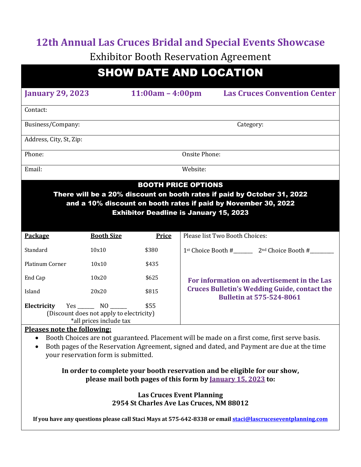# **12th Annual Las Cruces Bridal and Special Events Showcase**

**Exhibitor Booth Reservation Agreement** 

| <b>SHOW DATE AND LOCATION</b> |                    |                                     |  |  |
|-------------------------------|--------------------|-------------------------------------|--|--|
| <b>January 29, 2023</b>       | $11:00am - 4:00pm$ | <b>Las Cruces Convention Center</b> |  |  |
| Contact:                      |                    |                                     |  |  |
| Business/Company:             |                    | Category:                           |  |  |
| Address, City, St, Zip:       |                    |                                     |  |  |
| Phone:                        |                    | Onsite Phone:                       |  |  |
| Email:                        | Website:           |                                     |  |  |

## BOOTH PRICE OPTIONS

There will be a 20% discount on booth rates if paid by October 31, 2022 and a 10% discount on booth rates if paid by November 30, 2022 Exhibitor Deadline is January 15, 2023

| <b>Booth Size</b>                                               | <b>Price</b>            | Please list Two Booth Choices:                                                                                                        |
|-----------------------------------------------------------------|-------------------------|---------------------------------------------------------------------------------------------------------------------------------------|
| 10x10                                                           | \$380                   | 1st Choice Booth #<br>$2nd$ Choice Booth #                                                                                            |
| 10x10                                                           | \$435                   |                                                                                                                                       |
| 10x20                                                           | \$625                   | For information on advertisement in the Las<br><b>Cruces Bulletin's Wedding Guide, contact the</b><br><b>Bulletin at 575-524-8061</b> |
| 20x20                                                           | \$815                   |                                                                                                                                       |
| \$55<br>Electricity<br>(Discount does not apply to electricity) |                         |                                                                                                                                       |
|                                                                 | *all prices include tax |                                                                                                                                       |

#### **Pleases note the following:**

• Booth Choices are not guaranteed. Placement will be made on a first come, first serve basis.

• Both pages of the Reservation Agreement, signed and dated, and Payment are due at the time your reservation form is submitted.

#### In order to complete your booth reservation and be eligible for our show, **please mail both pages of this form by <u>January 15, 2023</u> to:**

#### **Las Cruces Event Planning 2954 St Charles Ave Las Cruces, NM 88012**

**If** you have any questions please call Staci Mays at 575-642-8338 or email staci@lascruceseventplanning.com